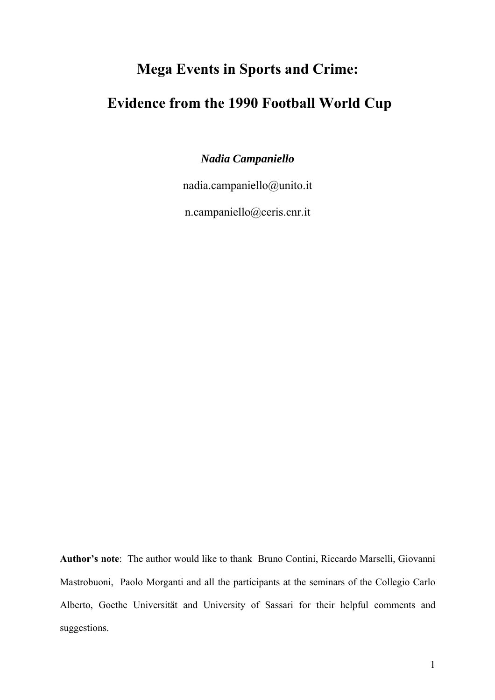# **Mega Events in Sports and Crime:**

# **Evidence from the 1990 Football World Cup**

*Nadia Campaniello* 

nadia.campaniello@unito.it

n.campaniello@ceris.cnr.it

**Author's note**: The author would like to thank Bruno Contini, Riccardo Marselli, Giovanni Mastrobuoni, Paolo Morganti and all the participants at the seminars of the Collegio Carlo Alberto, Goethe Universität and University of Sassari for their helpful comments and suggestions.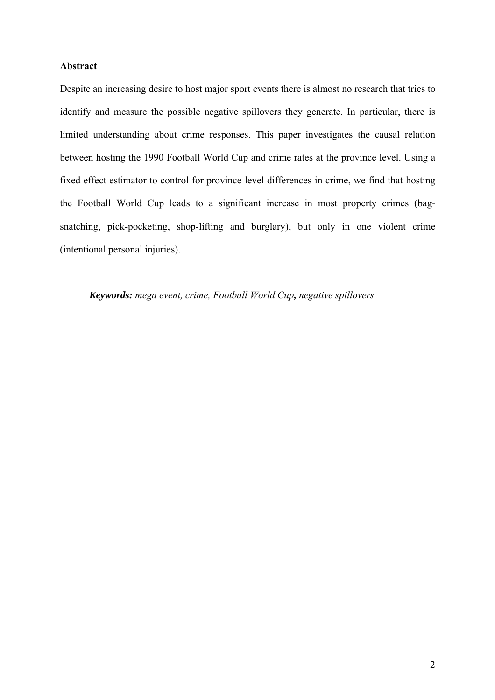### **Abstract**

Despite an increasing desire to host major sport events there is almost no research that tries to identify and measure the possible negative spillovers they generate. In particular, there is limited understanding about crime responses. This paper investigates the causal relation between hosting the 1990 Football World Cup and crime rates at the province level. Using a fixed effect estimator to control for province level differences in crime, we find that hosting the Football World Cup leads to a significant increase in most property crimes (bagsnatching, pick-pocketing, shop-lifting and burglary), but only in one violent crime (intentional personal injuries).

#### *Keywords: mega event, crime, Football World Cup, negative spillovers*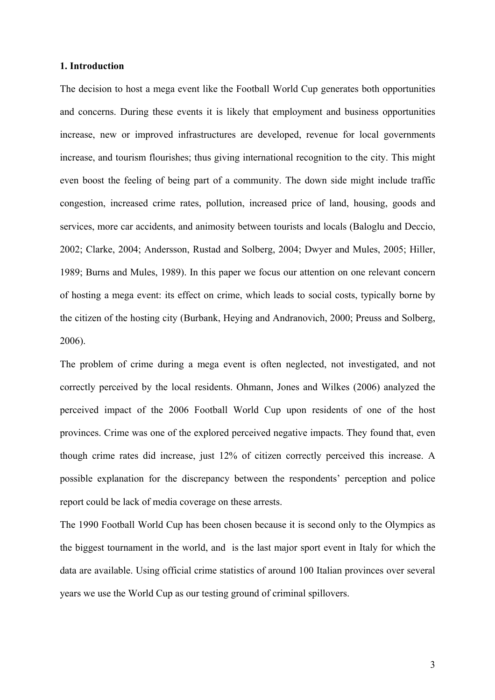#### **1. Introduction**

The decision to host a mega event like the Football World Cup generates both opportunities and concerns. During these events it is likely that employment and business opportunities increase, new or improved infrastructures are developed, revenue for local governments increase, and tourism flourishes; thus giving international recognition to the city. This might even boost the feeling of being part of a community. The down side might include traffic congestion, increased crime rates, pollution, increased price of land, housing, goods and services, more car accidents, and animosity between tourists and locals (Baloglu and Deccio, 2002; Clarke, 2004; Andersson, Rustad and Solberg, 2004; Dwyer and Mules, 2005; Hiller, 1989; Burns and Mules, 1989). In this paper we focus our attention on one relevant concern of hosting a mega event: its effect on crime, which leads to social costs, typically borne by the citizen of the hosting city (Burbank, Heying and Andranovich, 2000; Preuss and Solberg, 2006).

The problem of crime during a mega event is often neglected, not investigated, and not correctly perceived by the local residents. Ohmann, Jones and Wilkes (2006) analyzed the perceived impact of the 2006 Football World Cup upon residents of one of the host provinces. Crime was one of the explored perceived negative impacts. They found that, even though crime rates did increase, just 12% of citizen correctly perceived this increase. A possible explanation for the discrepancy between the respondents' perception and police report could be lack of media coverage on these arrests.

The 1990 Football World Cup has been chosen because it is second only to the Olympics as the biggest tournament in the world, and is the last major sport event in Italy for which the data are available. Using official crime statistics of around 100 Italian provinces over several years we use the World Cup as our testing ground of criminal spillovers.

3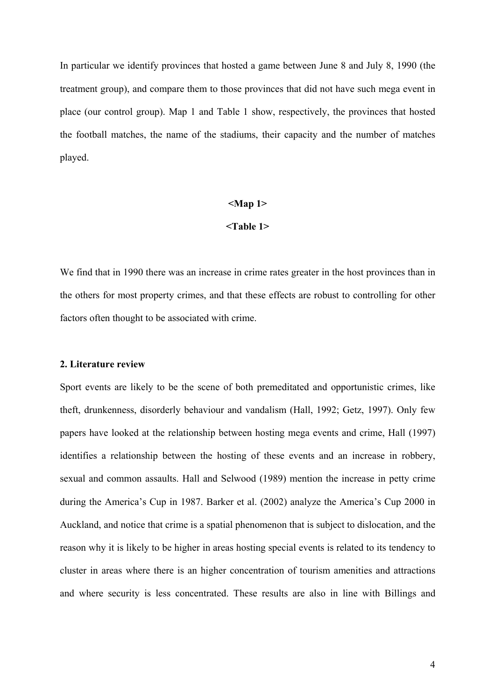In particular we identify provinces that hosted a game between June 8 and July 8, 1990 (the treatment group), and compare them to those provinces that did not have such mega event in place (our control group). Map 1 and Table 1 show, respectively, the provinces that hosted the football matches, the name of the stadiums, their capacity and the number of matches played.

#### **<Map 1>**

#### **<Table 1>**

We find that in 1990 there was an increase in crime rates greater in the host provinces than in the others for most property crimes, and that these effects are robust to controlling for other factors often thought to be associated with crime.

#### **2. Literature review**

Sport events are likely to be the scene of both premeditated and opportunistic crimes, like theft, drunkenness, disorderly behaviour and vandalism (Hall, 1992; Getz, 1997). Only few papers have looked at the relationship between hosting mega events and crime, Hall (1997) identifies a relationship between the hosting of these events and an increase in robbery, sexual and common assaults. Hall and Selwood (1989) mention the increase in petty crime during the America's Cup in 1987. Barker et al. (2002) analyze the America's Cup 2000 in Auckland, and notice that crime is a spatial phenomenon that is subject to dislocation, and the reason why it is likely to be higher in areas hosting special events is related to its tendency to cluster in areas where there is an higher concentration of tourism amenities and attractions and where security is less concentrated. These results are also in line with Billings and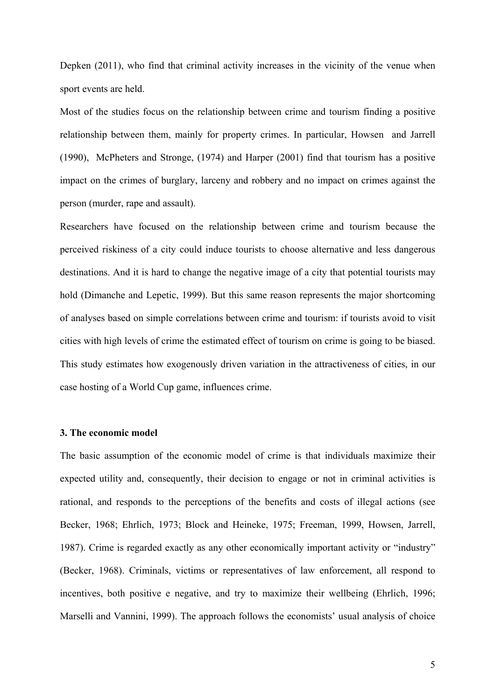Depken (2011), who find that criminal activity increases in the vicinity of the venue when sport events are held.

Most of the studies focus on the relationship between crime and tourism finding a positive relationship between them, mainly for property crimes. In particular, Howsen and Jarrell (1990), McPheters and Stronge, (1974) and Harper (2001) find that tourism has a positive impact on the crimes of burglary, larceny and robbery and no impact on crimes against the person (murder, rape and assault).

Researchers have focused on the relationship between crime and tourism because the perceived riskiness of a city could induce tourists to choose alternative and less dangerous destinations. And it is hard to change the negative image of a city that potential tourists may hold (Dimanche and Lepetic, 1999). But this same reason represents the major shortcoming of analyses based on simple correlations between crime and tourism: if tourists avoid to visit cities with high levels of crime the estimated effect of tourism on crime is going to be biased. This study estimates how exogenously driven variation in the attractiveness of cities, in our case hosting of a World Cup game, influences crime.

#### **3. The economic model**

The basic assumption of the economic model of crime is that individuals maximize their expected utility and, consequently, their decision to engage or not in criminal activities is rational, and responds to the perceptions of the benefits and costs of illegal actions (see Becker, 1968; Ehrlich, 1973; Block and Heineke, 1975; Freeman, 1999, Howsen, Jarrell, 1987). Crime is regarded exactly as any other economically important activity or "industry" (Becker, 1968). Criminals, victims or representatives of law enforcement, all respond to incentives, both positive e negative, and try to maximize their wellbeing (Ehrlich, 1996; Marselli and Vannini, 1999). The approach follows the economists' usual analysis of choice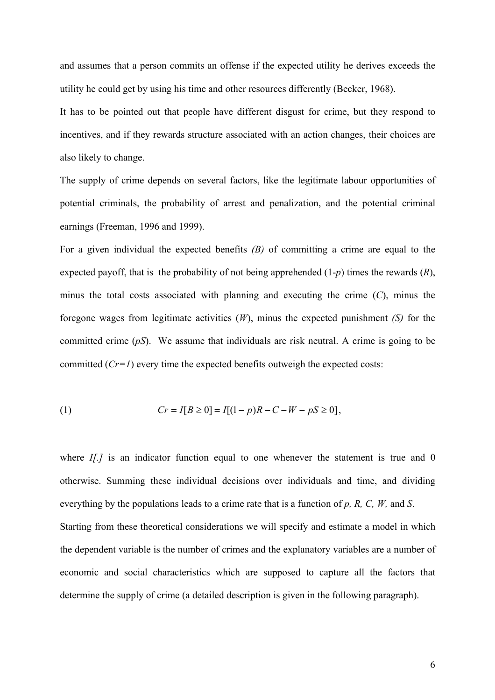and assumes that a person commits an offense if the expected utility he derives exceeds the utility he could get by using his time and other resources differently (Becker, 1968).

It has to be pointed out that people have different disgust for crime, but they respond to incentives, and if they rewards structure associated with an action changes, their choices are also likely to change.

The supply of crime depends on several factors, like the legitimate labour opportunities of potential criminals, the probability of arrest and penalization, and the potential criminal earnings (Freeman, 1996 and 1999).

For a given individual the expected benefits *(B)* of committing a crime are equal to the expected payoff, that is the probability of not being apprehended (1-*p*) times the rewards (*R*), minus the total costs associated with planning and executing the crime (*C*), minus the foregone wages from legitimate activities (*W*), minus the expected punishment *(S)* for the committed crime (*pS*). We assume that individuals are risk neutral. A crime is going to be committed  $(Cr=1)$  every time the expected benefits outweigh the expected costs:

(1) 
$$
Cr = I[B \ge 0] = I[(1-p)R - C - W - pS \ge 0],
$$

where *I[.]* is an indicator function equal to one whenever the statement is true and 0 otherwise. Summing these individual decisions over individuals and time, and dividing everything by the populations leads to a crime rate that is a function of *p, R, C, W,* and *S*. Starting from these theoretical considerations we will specify and estimate a model in which the dependent variable is the number of crimes and the explanatory variables are a number of economic and social characteristics which are supposed to capture all the factors that determine the supply of crime (a detailed description is given in the following paragraph).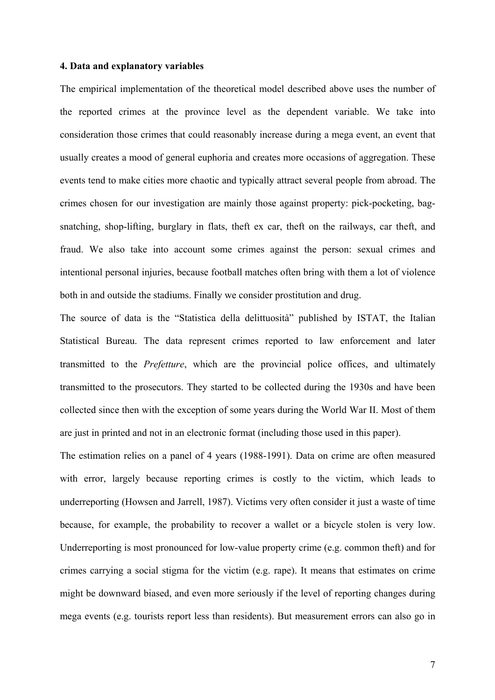#### **4. Data and explanatory variables**

The empirical implementation of the theoretical model described above uses the number of the reported crimes at the province level as the dependent variable. We take into consideration those crimes that could reasonably increase during a mega event, an event that usually creates a mood of general euphoria and creates more occasions of aggregation. These events tend to make cities more chaotic and typically attract several people from abroad. The crimes chosen for our investigation are mainly those against property: pick-pocketing, bagsnatching, shop-lifting, burglary in flats, theft ex car, theft on the railways, car theft, and fraud. We also take into account some crimes against the person: sexual crimes and intentional personal injuries, because football matches often bring with them a lot of violence both in and outside the stadiums. Finally we consider prostitution and drug.

The source of data is the "Statistica della delittuosità" published by ISTAT, the Italian Statistical Bureau. The data represent crimes reported to law enforcement and later transmitted to the *Prefetture*, which are the provincial police offices, and ultimately transmitted to the prosecutors. They started to be collected during the 1930s and have been collected since then with the exception of some years during the World War II. Most of them are just in printed and not in an electronic format (including those used in this paper).

The estimation relies on a panel of 4 years (1988-1991). Data on crime are often measured with error, largely because reporting crimes is costly to the victim, which leads to underreporting (Howsen and Jarrell, 1987). Victims very often consider it just a waste of time because, for example, the probability to recover a wallet or a bicycle stolen is very low. Underreporting is most pronounced for low-value property crime (e.g. common theft) and for crimes carrying a social stigma for the victim (e.g. rape). It means that estimates on crime might be downward biased, and even more seriously if the level of reporting changes during mega events (e.g. tourists report less than residents). But measurement errors can also go in

7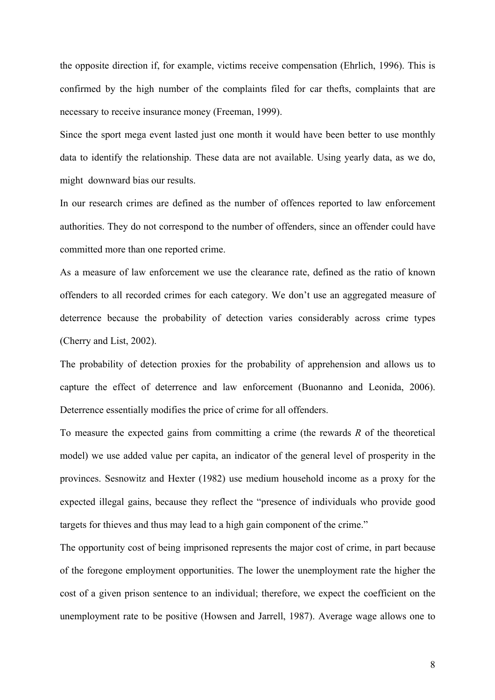the opposite direction if, for example, victims receive compensation (Ehrlich, 1996). This is confirmed by the high number of the complaints filed for car thefts, complaints that are necessary to receive insurance money (Freeman, 1999).

Since the sport mega event lasted just one month it would have been better to use monthly data to identify the relationship. These data are not available. Using yearly data, as we do, might downward bias our results.

In our research crimes are defined as the number of offences reported to law enforcement authorities. They do not correspond to the number of offenders, since an offender could have committed more than one reported crime.

As a measure of law enforcement we use the clearance rate, defined as the ratio of known offenders to all recorded crimes for each category. We don't use an aggregated measure of deterrence because the probability of detection varies considerably across crime types (Cherry and List, 2002).

The probability of detection proxies for the probability of apprehension and allows us to capture the effect of deterrence and law enforcement (Buonanno and Leonida, 2006). Deterrence essentially modifies the price of crime for all offenders.

To measure the expected gains from committing a crime (the rewards *R* of the theoretical model) we use added value per capita, an indicator of the general level of prosperity in the provinces. Sesnowitz and Hexter (1982) use medium household income as a proxy for the expected illegal gains, because they reflect the "presence of individuals who provide good targets for thieves and thus may lead to a high gain component of the crime."

The opportunity cost of being imprisoned represents the major cost of crime, in part because of the foregone employment opportunities. The lower the unemployment rate the higher the cost of a given prison sentence to an individual; therefore, we expect the coefficient on the unemployment rate to be positive (Howsen and Jarrell, 1987). Average wage allows one to

8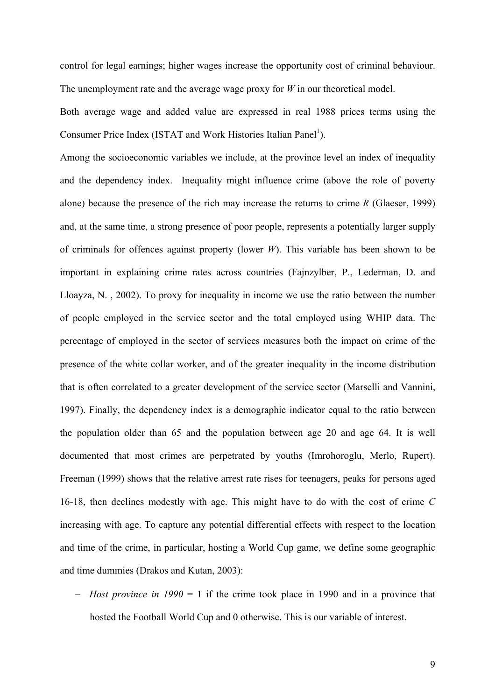control for legal earnings; higher wages increase the opportunity cost of criminal behaviour. The unemployment rate and the average wage proxy for *W* in our theoretical model.

Both average wage and added value are expressed in real 1988 prices terms using the Consumer Price Index (ISTAT and Work Histories Italian Panel<sup>1</sup>).

Among the socioeconomic variables we include, at the province level an index of inequality and the dependency index. Inequality might influence crime (above the role of poverty alone) because the presence of the rich may increase the returns to crime *R* (Glaeser, 1999) and, at the same time, a strong presence of poor people, represents a potentially larger supply of criminals for offences against property (lower *W*). This variable has been shown to be important in explaining crime rates across countries (Fajnzylber, P., Lederman, D. and Lloayza, N. , 2002). To proxy for inequality in income we use the ratio between the number of people employed in the service sector and the total employed using WHIP data. The percentage of employed in the sector of services measures both the impact on crime of the presence of the white collar worker, and of the greater inequality in the income distribution that is often correlated to a greater development of the service sector (Marselli and Vannini, 1997). Finally, the dependency index is a demographic indicator equal to the ratio between the population older than 65 and the population between age 20 and age 64. It is well documented that most crimes are perpetrated by youths (Imrohoroglu, Merlo, Rupert). Freeman (1999) shows that the relative arrest rate rises for teenagers, peaks for persons aged 16-18, then declines modestly with age. This might have to do with the cost of crime *C* increasing with age. To capture any potential differential effects with respect to the location and time of the crime, in particular, hosting a World Cup game, we define some geographic and time dummies (Drakos and Kutan, 2003):

− *Host province in 1990* = 1 if the crime took place in 1990 and in a province that hosted the Football World Cup and 0 otherwise. This is our variable of interest.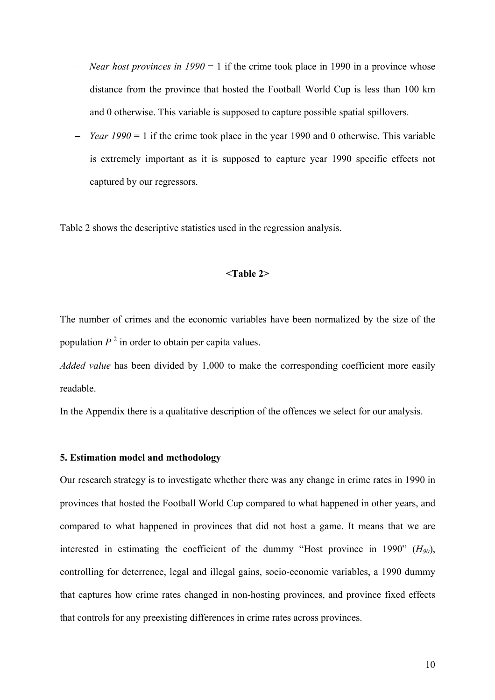- − *Near host provinces in 1990* = 1 if the crime took place in 1990 in a province whose distance from the province that hosted the Football World Cup is less than 100 km and 0 otherwise. This variable is supposed to capture possible spatial spillovers.
- − *Year 1990* = 1 if the crime took place in the year 1990 and 0 otherwise. This variable is extremely important as it is supposed to capture year 1990 specific effects not captured by our regressors.

Table 2 shows the descriptive statistics used in the regression analysis.

#### **<Table 2>**

The number of crimes and the economic variables have been normalized by the size of the population  $P<sup>2</sup>$  in order to obtain per capita values.

*Added value* has been divided by 1,000 to make the corresponding coefficient more easily readable.

In the Appendix there is a qualitative description of the offences we select for our analysis.

#### **5. Estimation model and methodology**

Our research strategy is to investigate whether there was any change in crime rates in 1990 in provinces that hosted the Football World Cup compared to what happened in other years, and compared to what happened in provinces that did not host a game. It means that we are interested in estimating the coefficient of the dummy "Host province in 1990" (*H90*), controlling for deterrence, legal and illegal gains, socio-economic variables, a 1990 dummy that captures how crime rates changed in non-hosting provinces, and province fixed effects that controls for any preexisting differences in crime rates across provinces.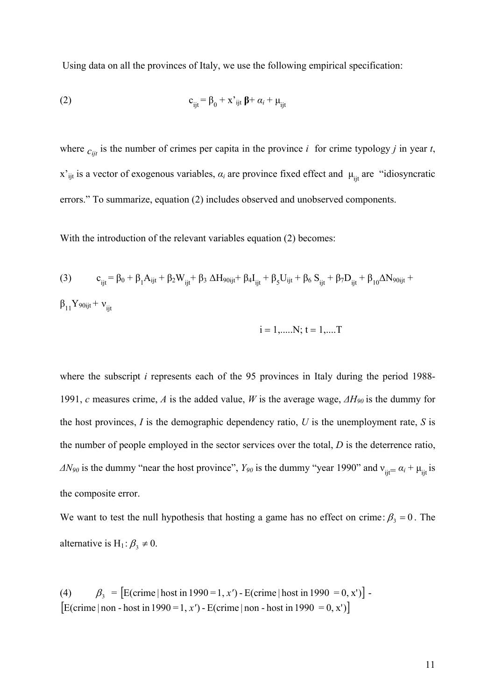Using data on all the provinces of Italy, we use the following empirical specification:

(2) 
$$
c_{ijt} = \beta_0 + x^2_{ijt} \beta + \alpha_i + \mu_{ijt}
$$

where  $c_{ijt}$  is the number of crimes per capita in the province *i* for crime typology *j* in year *t*,  $x'_{ijt}$  is a vector of exogenous variables,  $\alpha_i$  are province fixed effect and  $\mu_{ijt}$  are "idiosyncratic errors." To summarize, equation (2) includes observed and unobserved components.

With the introduction of the relevant variables equation (2) becomes:

(3) 
$$
c_{ijt} = \beta_0 + \beta_1 A_{ijt} + \beta_2 W_{ijt} + \beta_3 \Delta H_{90ijt} + \beta_4 I_{ijt} + \beta_5 U_{ijt} + \beta_6 S_{ijt} + \beta_7 D_{ijt} + \beta_{10} \Delta N_{90ijt} +
$$

$$
\beta_{11} Y_{90ijt} + \nu_{ijt}
$$

$$
i = 1, \dots, N; t = 1, \dots T
$$

where the subscript *i* represents each of the 95 provinces in Italy during the period 1988-1991, *c* measures crime, *A* is the added value, *W* is the average wage, *ΔH90* is the dummy for the host provinces,  $I$  is the demographic dependency ratio,  $U$  is the unemployment rate,  $S$  is the number of people employed in the sector services over the total, *D* is the deterrence ratio,  $\Delta N_{90}$  is the dummy "near the host province",  $Y_{90}$  is the dummy "year 1990" and  $v_{ijt} = \alpha_i + \mu_{ijt}$  is the composite error.

We want to test the null hypothesis that hosting a game has no effect on crime:  $\beta_3 = 0$ . The alternative is H<sub>1</sub>:  $\beta_3 \neq 0$ .

(4)  $\beta_3 = [E(\text{ crime} | \text{host in } 1990 = 1, x') - E(\text{ crime} | \text{host in } 1990 = 0, x')]$  $[$ E(crime | non - host in 1990 = 1, *x'*) - E(crime | non - host in 1990 = 0, *x'*)<sup> $]$ </sup>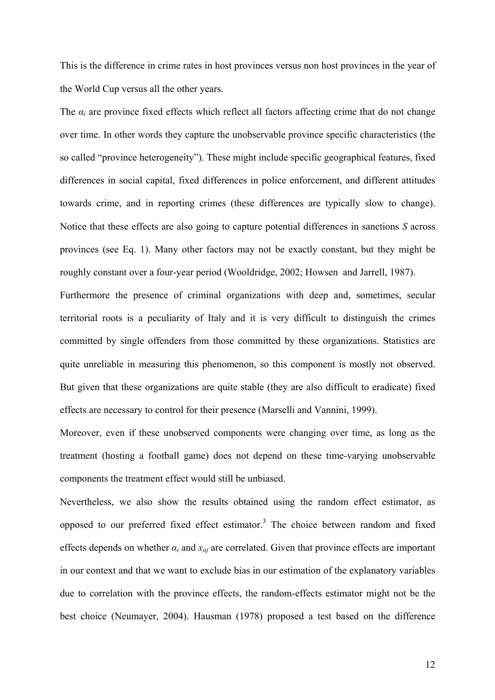This is the difference in crime rates in host provinces versus non host provinces in the year of the World Cup versus all the other years.

The  $\alpha_i$  are province fixed effects which reflect all factors affecting crime that do not change over time. In other words they capture the unobservable province specific characteristics (the so called "province heterogeneity"). These might include specific geographical features, fixed differences in social capital, fixed differences in police enforcement, and different attitudes towards crime, and in reporting crimes (these differences are typically slow to change). Notice that these effects are also going to capture potential differences in sanctions *S* across provinces (see Eq. 1). Many other factors may not be exactly constant, but they might be roughly constant over a four-year period (Wooldridge, 2002; Howsen and Jarrell, 1987).

Furthermore the presence of criminal organizations with deep and, sometimes, secular territorial roots is a peculiarity of Italy and it is very difficult to distinguish the crimes committed by single offenders from those committed by these organizations. Statistics are quite unreliable in measuring this phenomenon, so this component is mostly not observed. But given that these organizations are quite stable (they are also difficult to eradicate) fixed effects are necessary to control for their presence (Marselli and Vannini, 1999).

Moreover, even if these unobserved components were changing over time, as long as the treatment (hosting a football game) does not depend on these time-varying unobservable components the treatment effect would still be unbiased.

Nevertheless, we also show the results obtained using the random effect estimator, as opposed to our preferred fixed effect estimator.<sup>3</sup> The choice between random and fixed effects depends on whether  $\alpha_i$  and  $x_{i t i}$  are correlated. Given that province effects are important in our context and that we want to exclude bias in our estimation of the explanatory variables due to correlation with the province effects, the random-effects estimator might not be the best choice (Neumayer, 2004). Hausman (1978) proposed a test based on the difference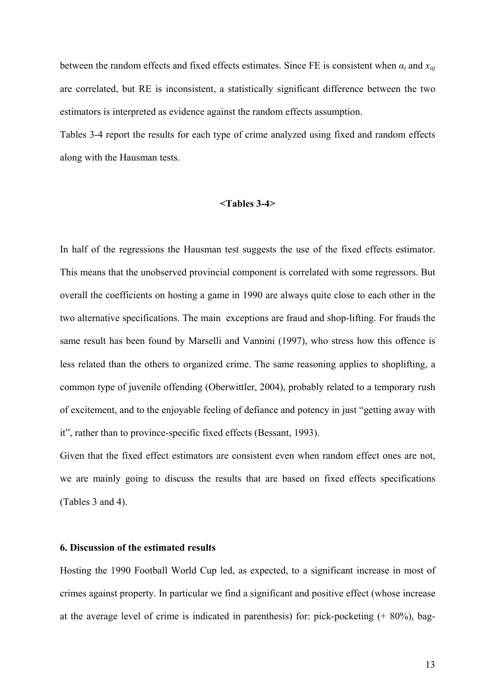between the random effects and fixed effects estimates. Since FE is consistent when  $\alpha_i$  and  $x_{i t j}$ are correlated, but RE is inconsistent, a statistically significant difference between the two estimators is interpreted as evidence against the random effects assumption.

Tables 3-4 report the results for each type of crime analyzed using fixed and random effects along with the Hausman tests.

#### **<Tables 3-4>**

In half of the regressions the Hausman test suggests the use of the fixed effects estimator. This means that the unobserved provincial component is correlated with some regressors. But overall the coefficients on hosting a game in 1990 are always quite close to each other in the two alternative specifications. The main exceptions are fraud and shop-lifting. For frauds the same result has been found by Marselli and Vannini (1997), who stress how this offence is less related than the others to organized crime. The same reasoning applies to shoplifting, a common type of juvenile offending (Oberwittler, 2004), probably related to a temporary rush of excitement, and to the enjoyable feeling of defiance and potency in just "getting away with it", rather than to province-specific fixed effects (Bessant, 1993).

Given that the fixed effect estimators are consistent even when random effect ones are not, we are mainly going to discuss the results that are based on fixed effects specifications (Tables 3 and 4).

#### **6. Discussion of the estimated results**

Hosting the 1990 Football World Cup led, as expected, to a significant increase in most of crimes against property. In particular we find a significant and positive effect (whose increase at the average level of crime is indicated in parenthesis) for: pick-pocketing (+ 80%), bag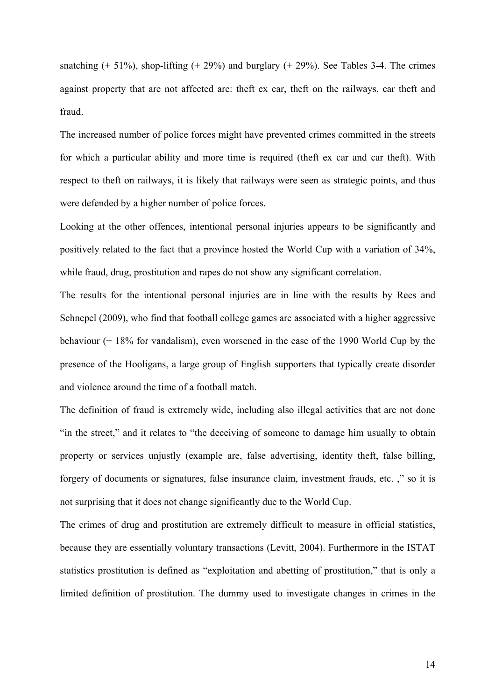snatching  $(+ 51\%)$ , shop-lifting  $(+ 29\%)$  and burglary  $(+ 29\%)$ . See Tables 3-4. The crimes against property that are not affected are: theft ex car, theft on the railways, car theft and fraud.

The increased number of police forces might have prevented crimes committed in the streets for which a particular ability and more time is required (theft ex car and car theft). With respect to theft on railways, it is likely that railways were seen as strategic points, and thus were defended by a higher number of police forces.

Looking at the other offences, intentional personal injuries appears to be significantly and positively related to the fact that a province hosted the World Cup with a variation of 34%, while fraud, drug, prostitution and rapes do not show any significant correlation.

The results for the intentional personal injuries are in line with the results by Rees and Schnepel (2009), who find that football college games are associated with a higher aggressive behaviour (+ 18% for vandalism), even worsened in the case of the 1990 World Cup by the presence of the Hooligans, a large group of English supporters that typically create disorder and violence around the time of a football match.

The definition of fraud is extremely wide, including also illegal activities that are not done "in the street," and it relates to "the deceiving of someone to damage him usually to obtain property or services unjustly (example are, false advertising, identity theft, false billing, forgery of documents or signatures, false insurance claim, investment frauds, etc. ," so it is not surprising that it does not change significantly due to the World Cup.

The crimes of drug and prostitution are extremely difficult to measure in official statistics, because they are essentially voluntary transactions (Levitt, 2004). Furthermore in the ISTAT statistics prostitution is defined as "exploitation and abetting of prostitution," that is only a limited definition of prostitution. The dummy used to investigate changes in crimes in the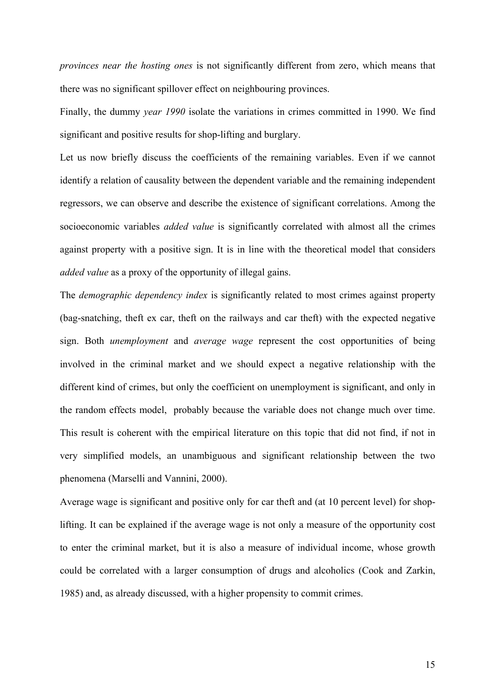*provinces near the hosting ones* is not significantly different from zero, which means that there was no significant spillover effect on neighbouring provinces.

Finally, the dummy *year 1990* isolate the variations in crimes committed in 1990. We find significant and positive results for shop-lifting and burglary.

Let us now briefly discuss the coefficients of the remaining variables. Even if we cannot identify a relation of causality between the dependent variable and the remaining independent regressors, we can observe and describe the existence of significant correlations. Among the socioeconomic variables *added value* is significantly correlated with almost all the crimes against property with a positive sign. It is in line with the theoretical model that considers *added value* as a proxy of the opportunity of illegal gains.

The *demographic dependency index* is significantly related to most crimes against property (bag-snatching, theft ex car, theft on the railways and car theft) with the expected negative sign. Both *unemployment* and *average wage* represent the cost opportunities of being involved in the criminal market and we should expect a negative relationship with the different kind of crimes, but only the coefficient on unemployment is significant, and only in the random effects model, probably because the variable does not change much over time. This result is coherent with the empirical literature on this topic that did not find, if not in very simplified models, an unambiguous and significant relationship between the two phenomena (Marselli and Vannini, 2000).

Average wage is significant and positive only for car theft and (at 10 percent level) for shoplifting. It can be explained if the average wage is not only a measure of the opportunity cost to enter the criminal market, but it is also a measure of individual income, whose growth could be correlated with a larger consumption of drugs and alcoholics (Cook and Zarkin, 1985) and, as already discussed, with a higher propensity to commit crimes.

15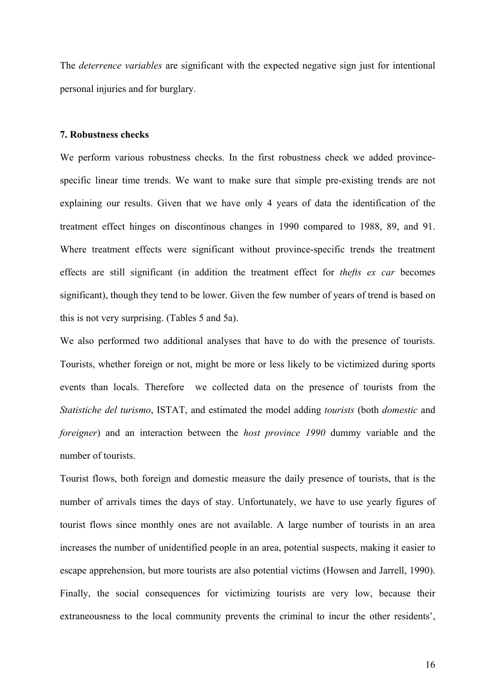The *deterrence variables* are significant with the expected negative sign just for intentional personal injuries and for burglary.

#### **7. Robustness checks**

We perform various robustness checks. In the first robustness check we added provincespecific linear time trends. We want to make sure that simple pre-existing trends are not explaining our results. Given that we have only 4 years of data the identification of the treatment effect hinges on discontinous changes in 1990 compared to 1988, 89, and 91. Where treatment effects were significant without province-specific trends the treatment effects are still significant (in addition the treatment effect for *thefts ex car* becomes significant), though they tend to be lower. Given the few number of years of trend is based on this is not very surprising. (Tables 5 and 5a).

We also performed two additional analyses that have to do with the presence of tourists. Tourists, whether foreign or not, might be more or less likely to be victimized during sports events than locals. Therefore we collected data on the presence of tourists from the *Statistiche del turismo*, ISTAT, and estimated the model adding *tourists* (both *domestic* and *foreigner*) and an interaction between the *host province 1990* dummy variable and the number of tourists.

Tourist flows, both foreign and domestic measure the daily presence of tourists, that is the number of arrivals times the days of stay. Unfortunately, we have to use yearly figures of tourist flows since monthly ones are not available. A large number of tourists in an area increases the number of unidentified people in an area, potential suspects, making it easier to escape apprehension, but more tourists are also potential victims (Howsen and Jarrell, 1990). Finally, the social consequences for victimizing tourists are very low, because their extraneousness to the local community prevents the criminal to incur the other residents',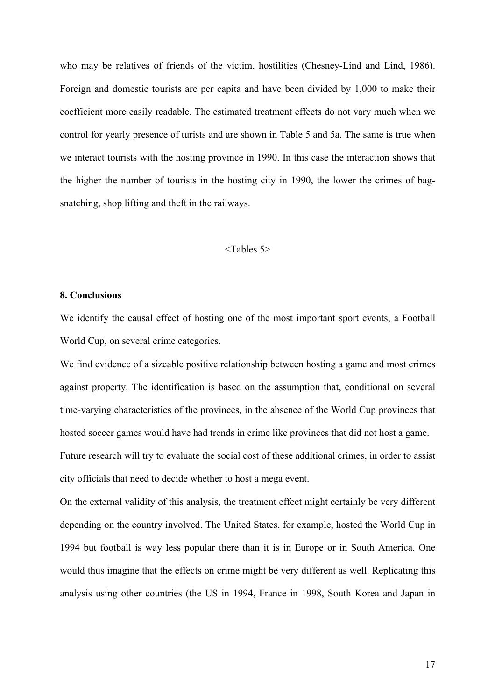who may be relatives of friends of the victim, hostilities (Chesney-Lind and Lind, 1986). Foreign and domestic tourists are per capita and have been divided by 1,000 to make their coefficient more easily readable. The estimated treatment effects do not vary much when we control for yearly presence of turists and are shown in Table 5 and 5a. The same is true when we interact tourists with the hosting province in 1990. In this case the interaction shows that the higher the number of tourists in the hosting city in 1990, the lower the crimes of bagsnatching, shop lifting and theft in the railways.

#### <Tables 5>

#### **8. Conclusions**

We identify the causal effect of hosting one of the most important sport events, a Football World Cup, on several crime categories.

We find evidence of a sizeable positive relationship between hosting a game and most crimes against property. The identification is based on the assumption that, conditional on several time-varying characteristics of the provinces, in the absence of the World Cup provinces that hosted soccer games would have had trends in crime like provinces that did not host a game.

Future research will try to evaluate the social cost of these additional crimes, in order to assist city officials that need to decide whether to host a mega event.

On the external validity of this analysis, the treatment effect might certainly be very different depending on the country involved. The United States, for example, hosted the World Cup in 1994 but football is way less popular there than it is in Europe or in South America. One would thus imagine that the effects on crime might be very different as well. Replicating this analysis using other countries (the US in 1994, France in 1998, South Korea and Japan in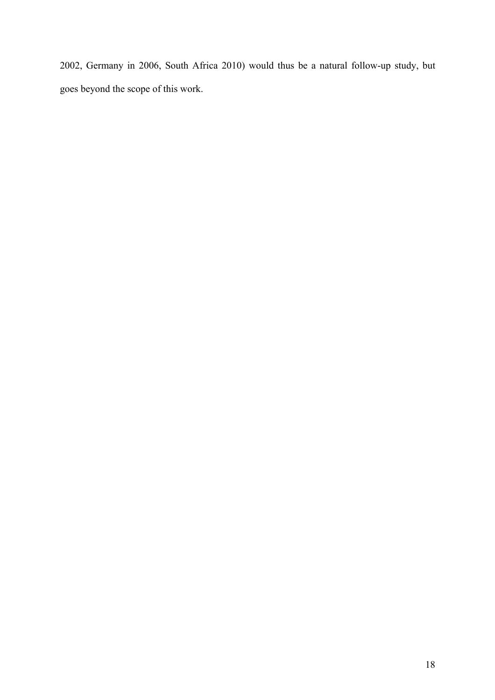2002, Germany in 2006, South Africa 2010) would thus be a natural follow-up study, but goes beyond the scope of this work.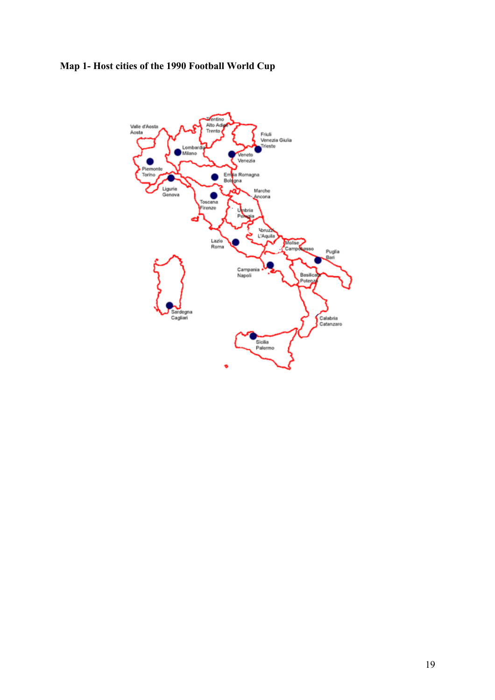## **Map 1- Host cities of the 1990 Football World Cup**

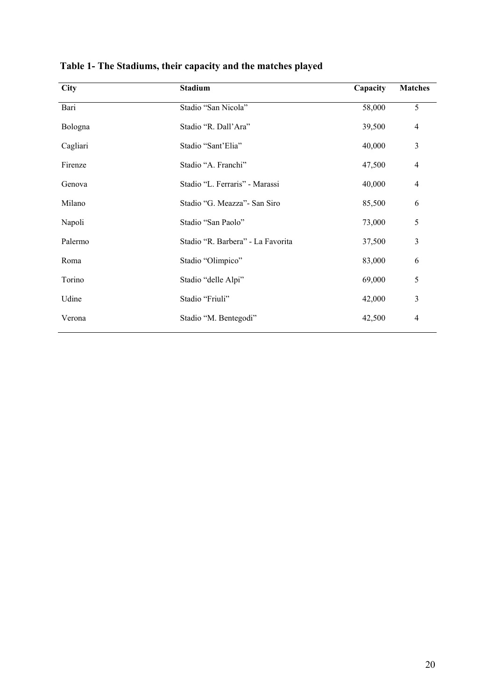| <b>City</b> | <b>Stadium</b>                    | Capacity | <b>Matches</b> |
|-------------|-----------------------------------|----------|----------------|
| Bari        | Stadio "San Nicola"               | 58,000   | 5              |
| Bologna     | Stadio "R. Dall'Ara"              | 39,500   | $\overline{4}$ |
| Cagliari    | Stadio "Sant'Elia"                | 40,000   | 3              |
| Firenze     | Stadio "A. Franchi"               | 47,500   | $\overline{4}$ |
| Genova      | Stadio "L. Ferraris" - Marassi    | 40,000   | $\overline{4}$ |
| Milano      | Stadio "G. Meazza" - San Siro     | 85,500   | 6              |
| Napoli      | Stadio "San Paolo"                | 73,000   | 5              |
| Palermo     | Stadio "R. Barbera" - La Favorita | 37,500   | 3              |
| Roma        | Stadio "Olimpico"                 | 83,000   | 6              |
| Torino      | Stadio "delle Alpi"               | 69,000   | 5              |
| Udine       | Stadio "Friuli"                   | 42,000   | 3              |
| Verona      | Stadio "M. Bentegodi"             | 42,500   | 4              |

**Table 1- The Stadiums, their capacity and the matches played**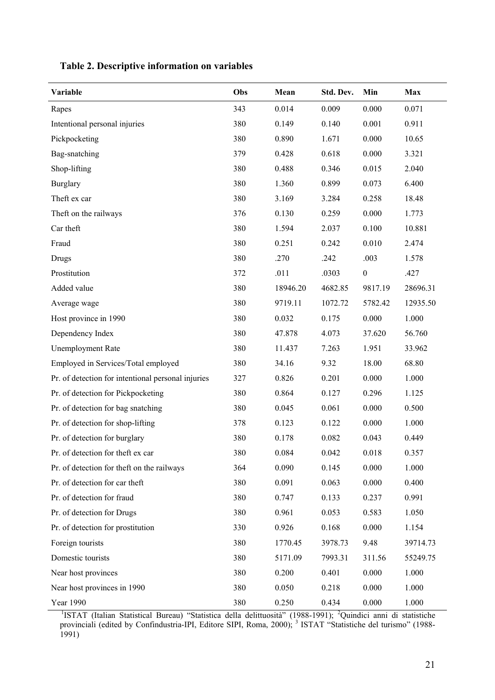| Variable                                           | Obs | Mean     | Std. Dev. | Min              | Max      |
|----------------------------------------------------|-----|----------|-----------|------------------|----------|
| Rapes                                              | 343 | 0.014    | 0.009     | 0.000            | 0.071    |
| Intentional personal injuries                      | 380 | 0.149    | 0.140     | 0.001            | 0.911    |
| Pickpocketing                                      | 380 | 0.890    | 1.671     | 0.000            | 10.65    |
| Bag-snatching                                      | 379 | 0.428    | 0.618     | 0.000            | 3.321    |
| Shop-lifting                                       | 380 | 0.488    | 0.346     | 0.015            | 2.040    |
| <b>Burglary</b>                                    | 380 | 1.360    | 0.899     | 0.073            | 6.400    |
| Theft ex car                                       | 380 | 3.169    | 3.284     | 0.258            | 18.48    |
| Theft on the railways                              | 376 | 0.130    | 0.259     | 0.000            | 1.773    |
| Car theft                                          | 380 | 1.594    | 2.037     | 0.100            | 10.881   |
| Fraud                                              | 380 | 0.251    | 0.242     | 0.010            | 2.474    |
| Drugs                                              | 380 | .270     | .242      | .003             | 1.578    |
| Prostitution                                       | 372 | .011     | .0303     | $\boldsymbol{0}$ | .427     |
| Added value                                        | 380 | 18946.20 | 4682.85   | 9817.19          | 28696.31 |
| Average wage                                       | 380 | 9719.11  | 1072.72   | 5782.42          | 12935.50 |
| Host province in 1990                              | 380 | 0.032    | 0.175     | 0.000            | 1.000    |
| Dependency Index                                   | 380 | 47.878   | 4.073     | 37.620           | 56.760   |
| <b>Unemployment Rate</b>                           | 380 | 11.437   | 7.263     | 1.951            | 33.962   |
| Employed in Services/Total employed                | 380 | 34.16    | 9.32      | 18.00            | 68.80    |
| Pr. of detection for intentional personal injuries | 327 | 0.826    | 0.201     | 0.000            | 1.000    |
| Pr. of detection for Pickpocketing                 | 380 | 0.864    | 0.127     | 0.296            | 1.125    |
| Pr. of detection for bag snatching                 | 380 | 0.045    | 0.061     | 0.000            | 0.500    |
| Pr. of detection for shop-lifting                  | 378 | 0.123    | 0.122     | 0.000            | 1.000    |
| Pr. of detection for burglary                      | 380 | 0.178    | 0.082     | 0.043            | 0.449    |
| Pr. of detection for theft ex car                  | 380 | 0.084    | 0.042     | 0.018            | 0.357    |
| Pr. of detection for theft on the railways         | 364 | 0.090    | 0.145     | 0.000            | 1.000    |
| Pr. of detection for car theft                     | 380 | 0.091    | 0.063     | 0.000            | 0.400    |
| Pr. of detection for fraud                         | 380 | 0.747    | 0.133     | 0.237            | 0.991    |
| Pr. of detection for Drugs                         | 380 | 0.961    | 0.053     | 0.583            | 1.050    |
| Pr. of detection for prostitution                  | 330 | 0.926    | 0.168     | 0.000            | 1.154    |
| Foreign tourists                                   | 380 | 1770.45  | 3978.73   | 9.48             | 39714.73 |
| Domestic tourists                                  | 380 | 5171.09  | 7993.31   | 311.56           | 55249.75 |
| Near host provinces                                | 380 | 0.200    | 0.401     | 0.000            | 1.000    |
| Near host provinces in 1990                        | 380 | 0.050    | 0.218     | 0.000            | 1.000    |
| Year 1990                                          | 380 | 0.250    | 0.434     | 0.000            | 1.000    |

## **Table 2. Descriptive information on variables**

<sup>1</sup>ISTAT (Italian Statistical Bureau) "Statistica della delittuosità" (1988-1991); <sup>2</sup>Quindici anni di statistiche provinciali (edited by Confindustria-IPI, Editore SIPI, Roma, 2000); <sup>3</sup> ISTAT "Statistiche del turismo" (1988- $1991$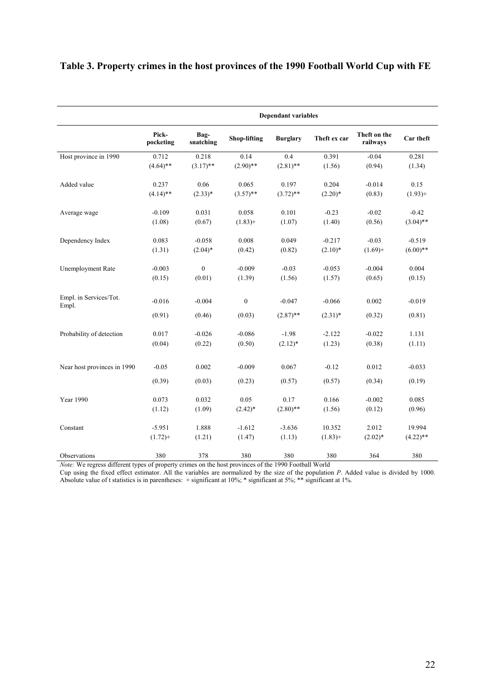## **Table 3. Property crimes in the host provinces of the 1990 Football World Cup with FE**

|                             | <b>Dependant variables</b> |                   |                     |                 |              |                          |             |
|-----------------------------|----------------------------|-------------------|---------------------|-----------------|--------------|--------------------------|-------------|
|                             | Pick-<br>pocketing         | Bag-<br>snatching | <b>Shop-lifting</b> | <b>Burglary</b> | Theft ex car | Theft on the<br>railways | Car theft   |
| Host province in 1990       | 0.712                      | 0.218             | 0.14                | 0.4             | 0.391        | $-0.04$                  | 0.281       |
|                             | $(4.64)$ **                | $(3.17)$ **       | $(2.90)$ **         | $(2.81)$ **     | (1.56)       | (0.94)                   | (1.34)      |
| Added value                 | 0.237                      | 0.06              | 0.065               | 0.197           | 0.204        | $-0.014$                 | 0.15        |
|                             | $(4.14)$ **                | $(2.33)*$         | $(3.57)$ **         | $(3.72)$ **     | $(2.20)*$    | (0.83)                   | $(1.93) +$  |
| Average wage                | $-0.109$                   | 0.031             | 0.058               | 0.101           | $-0.23$      | $-0.02$                  | $-0.42$     |
|                             | (1.08)                     | (0.67)            | $(1.83) +$          | (1.07)          | (1.40)       | (0.56)                   | $(3.04)$ ** |
| Dependency Index            | 0.083                      | $-0.058$          | 0.008               | 0.049           | $-0.217$     | $-0.03$                  | $-0.519$    |
|                             | (1.31)                     | $(2.04)^*$        | (0.42)              | (0.82)          | $(2.10)*$    | $(1.69) +$               | $(6.00)$ ** |
| <b>Unemployment Rate</b>    | $-0.003$                   | $\boldsymbol{0}$  | $-0.009$            | $-0.03$         | $-0.053$     | $-0.004$                 | 0.004       |
|                             | (0.15)                     | (0.01)            | (1.39)              | (1.56)          | (1.57)       | (0.65)                   | (0.15)      |
| Empl. in Services/Tot.      | $-0.016$                   | $-0.004$          | $\boldsymbol{0}$    | $-0.047$        | $-0.066$     | 0.002                    | $-0.019$    |
| Empl.                       |                            |                   |                     |                 |              |                          |             |
|                             | (0.91)                     | (0.46)            | (0.03)              | $(2.87)$ **     | $(2.31)^*$   | (0.32)                   | (0.81)      |
| Probability of detection    | 0.017                      | $-0.026$          | $-0.086$            | $-1.98$         | $-2.122$     | $-0.022$                 | 1.131       |
|                             | (0.04)                     | (0.22)            | (0.50)              | $(2.12)^*$      | (1.23)       | (0.38)                   | (1.11)      |
| Near host provinces in 1990 | $-0.05$                    | 0.002             | $-0.009$            | 0.067           | $-0.12$      | 0.012                    | $-0.033$    |
|                             | (0.39)                     | (0.03)            | (0.23)              | (0.57)          | (0.57)       | (0.34)                   | (0.19)      |
| Year 1990                   | 0.073                      | 0.032             | 0.05                | 0.17            | 0.166        | $-0.002$                 | 0.085       |
|                             | (1.12)                     | (1.09)            | $(2.42)^*$          | $(2.80)$ **     | (1.56)       | (0.12)                   | (0.96)      |
| Constant                    | $-5.951$                   | 1.888             | $-1.612$            | $-3.636$        | 10.352       | 2.012                    | 19.994      |
|                             | $(1.72) +$                 | (1.21)            | (1.47)              | (1.13)          | $(1.83) +$   | $(2.02)*$                | $(4.22)$ ** |
| Observations                | 380                        | 378               | 380                 | 380             | 380          | 364                      | 380         |

*Note:* We regress different types of property crimes on the host provinces of the 1990 Football World

Cup using the fixed effect estimator. All the variables are normalized by the size of the population *P*. Added value is divided by 1000. Absolute value of t statistics is in parentheses: + significant at 10%; \* significant at 5%; \*\* significant at 1%.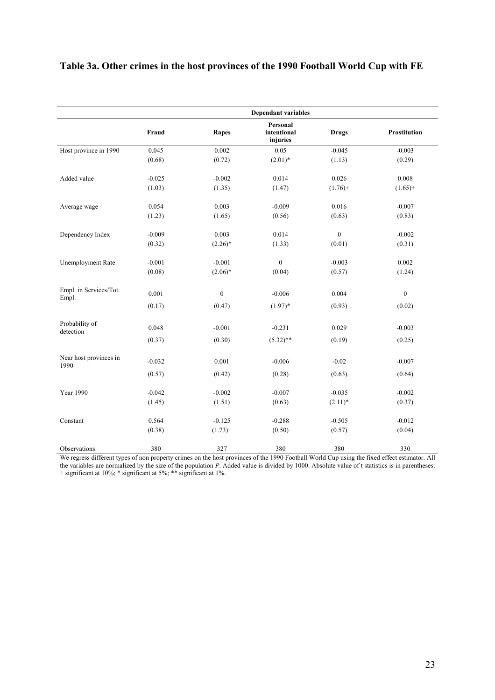## **Table 3a. Other crimes in the host provinces of the 1990 Football World Cup with FE**

|                                 |          |                  | <b>Dependant variables</b>          |                  |                     |
|---------------------------------|----------|------------------|-------------------------------------|------------------|---------------------|
|                                 | Fraud    | <b>Rapes</b>     | Personal<br>intentional<br>injuries | <b>Drugs</b>     | <b>Prostitution</b> |
| Host province in 1990           | 0.045    | 0.002            | 0.05                                | $-0.045$         | $-0.003$            |
|                                 | (0.68)   | (0.72)           | $(2.01)*$                           | (1.13)           | (0.29)              |
| Added value                     | $-0.025$ | $-0.002$         | 0.014                               | 0.026            | 0.008               |
|                                 | (1.03)   | (1.35)           | (1.47)                              | $(1.76) +$       | $(1.65)$ +          |
| Average wage                    | 0.054    | 0.003            | $-0.009$                            | 0.016            | $-0.007$            |
|                                 | (1.23)   | (1.65)           | (0.56)                              | (0.63)           | (0.83)              |
| Dependency Index                | $-0.009$ | 0.003            | 0.014                               | $\boldsymbol{0}$ | $-0.002$            |
|                                 | (0.32)   | $(2.26)^*$       | (1.33)                              | (0.01)           | (0.31)              |
| Unemployment Rate               | $-0.001$ | $-0.001$         | $\boldsymbol{0}$                    | $-0.003$         | 0.002               |
|                                 | (0.08)   | $(2.06)^*$       | (0.04)                              | (0.57)           | (1.24)              |
| Empl. in Services/Tot.<br>Empl. | 0.001    | $\boldsymbol{0}$ | $-0.006$                            | 0.004            | $\boldsymbol{0}$    |
|                                 | (0.17)   | (0.47)           | $(1.97)^*$                          | (0.93)           | (0.02)              |
| Probability of                  | 0.048    | $-0.001$         | $-0.231$                            | 0.029            | $-0.003$            |
| detection                       | (0.37)   | (0.30)           | $(5.32)$ **                         | (0.19)           | (0.25)              |
|                                 |          |                  |                                     |                  |                     |
| Near host provinces in<br>1990  | $-0.032$ | 0.001            | $-0.006$                            | $-0.02$          | $-0.007$            |
|                                 | (0.57)   | (0.42)           | (0.28)                              | (0.63)           | (0.64)              |
| <b>Year 1990</b>                | $-0.042$ | $-0.002$         | $-0.007$                            | $-0.035$         | $-0.002$            |
|                                 | (1.45)   | (1.51)           | (0.63)                              | $(2.11)*$        | (0.37)              |
| Constant                        | 0.564    | $-0.125$         | $-0.288$                            | $-0.505$         | $-0.012$            |
|                                 | (0.38)   | $(1.73) +$       | (0.50)                              | (0.57)           | (0.04)              |
| Observations                    | 380      | 327              | 380                                 | 380              | 330                 |

We regress different types of non property crimes on the host provinces of the 1990 Football World Cup using the fixed effect estimator. All the variables are normalized by the size of the population *P*. Added value is divided by 1000. Absolute value of t statistics is in parentheses: + significant at 10%; \* significant at 5%; \*\* significant at 1%.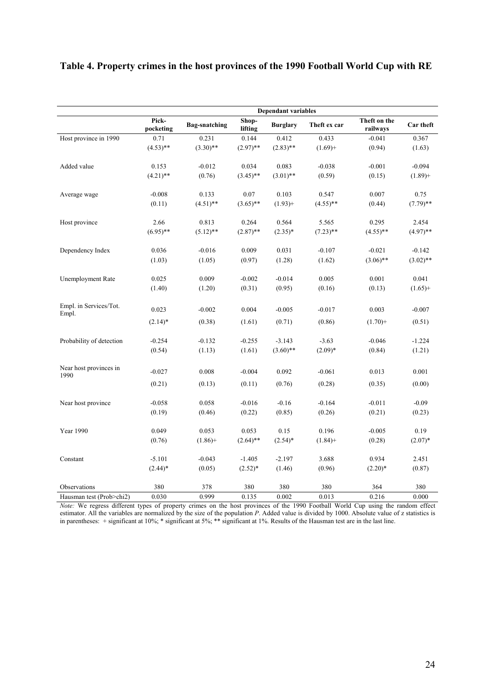## **Table 4. Property crimes in the host provinces of the 1990 Football World Cup with RE**

|                                 | <b>Dependant variables</b> |                      |                  |                 |              |                          |             |  |
|---------------------------------|----------------------------|----------------------|------------------|-----------------|--------------|--------------------------|-------------|--|
|                                 | Pick-<br>pocketing         | <b>Bag-snatching</b> | Shop-<br>lifting | <b>Burglary</b> | Theft ex car | Theft on the<br>railways | Car theft   |  |
| Host province in 1990           | 0.71                       | 0.231                | 0.144            | 0.412           | 0.433        | $-0.041$                 | 0.367       |  |
|                                 | $(4.53)$ **                | $(3.30)$ **          | $(2.97)$ **      | $(2.83)$ **     | $(1.69) +$   | (0.94)                   | (1.63)      |  |
| Added value                     | 0.153                      | $-0.012$             | 0.034            | 0.083           | $-0.038$     | $-0.001$                 | $-0.094$    |  |
|                                 | $(4.21)$ **                | (0.76)               | $(3.45)$ **      | $(3.01)$ **     | (0.59)       | (0.15)                   | $(1.89) +$  |  |
| Average wage                    | $-0.008$                   | 0.133                | 0.07             | 0.103           | 0.547        | 0.007                    | 0.75        |  |
|                                 | (0.11)                     | $(4.51)$ **          | $(3.65)$ **      | $(1.93) +$      | $(4.55)$ **  | (0.44)                   | $(7.79)$ ** |  |
| Host province                   | 2.66                       | 0.813                | 0.264            | 0.564           | 5.565        | 0.295                    | 2.454       |  |
|                                 | $(6.95)$ **                | $(5.12)$ **          | $(2.87)$ **      | $(2.35)^*$      | $(7.23)$ **  | $(4.55)$ **              | $(4.97)$ ** |  |
| Dependency Index                | 0.036                      | $-0.016$             | 0.009            | 0.031           | $-0.107$     | $-0.021$                 | $-0.142$    |  |
|                                 | (1.03)                     | (1.05)               | (0.97)           | (1.28)          | (1.62)       | $(3.06)$ **              | $(3.02)$ ** |  |
| <b>Unemployment Rate</b>        | 0.025                      | 0.009                | $-0.002$         | $-0.014$        | 0.005        | 0.001                    | 0.041       |  |
|                                 | (1.40)                     | (1.20)               | (0.31)           | (0.95)          | (0.16)       | (0.13)                   | $(1.65) +$  |  |
| Empl. in Services/Tot.<br>Empl. | 0.023                      | $-0.002$             | 0.004            | $-0.005$        | $-0.017$     | 0.003                    | $-0.007$    |  |
|                                 | $(2.14)^*$                 | (0.38)               | (1.61)           | (0.71)          | (0.86)       | $(1.70) +$               | (0.51)      |  |
| Probability of detection        | $-0.254$                   | $-0.132$             | $-0.255$         | $-3.143$        | $-3.63$      | $-0.046$                 | $-1.224$    |  |
|                                 | (0.54)                     | (1.13)               | (1.61)           | $(3.60)$ **     | $(2.09)*$    | (0.84)                   | (1.21)      |  |
| Near host provinces in<br>1990  | $-0.027$                   | 0.008                | $-0.004$         | 0.092           | $-0.061$     | 0.013                    | 0.001       |  |
|                                 | (0.21)                     | (0.13)               | (0.11)           | (0.76)          | (0.28)       | (0.35)                   | (0.00)      |  |
| Near host province              | $-0.058$                   | 0.058                | $-0.016$         | $-0.16$         | $-0.164$     | $-0.011$                 | $-0.09$     |  |
|                                 | (0.19)                     | (0.46)               | (0.22)           | (0.85)          | (0.26)       | (0.21)                   | (0.23)      |  |
| Year 1990                       | 0.049                      | 0.053                | 0.053            | 0.15            | 0.196        | $-0.005$                 | 0.19        |  |
|                                 | (0.76)                     | $(1.86) +$           | $(2.64)$ **      | $(2.54)$ *      | $(1.84) +$   | (0.28)                   | $(2.07)^*$  |  |
| Constant                        | $-5.101$                   | $-0.043$             | $-1.405$         | $-2.197$        | 3.688        | 0.934                    | 2.451       |  |
|                                 | $(2.44)$ *                 | (0.05)               | $(2.52)^*$       | (1.46)          | (0.96)       | $(2.20)*$                | (0.87)      |  |
| Observations                    | 380                        | 378                  | 380              | 380             | 380          | 364                      | 380         |  |
| Hausman test (Prob>chi2)        | 0.030                      | 0.999                | 0.135            | 0.002           | 0.013        | 0.216                    | 0.000       |  |

*Note:* We regress different types of property crimes on the host provinces of the 1990 Football World Cup using the random effect estimator. All the variables are normalized by the size of the population *P*. Added value is divided by 1000. Absolute value of z statistics is in parentheses: + significant at 10%; \* significant at 5%; \*\* significant at 1%. Results of the Hausman test are in the last line.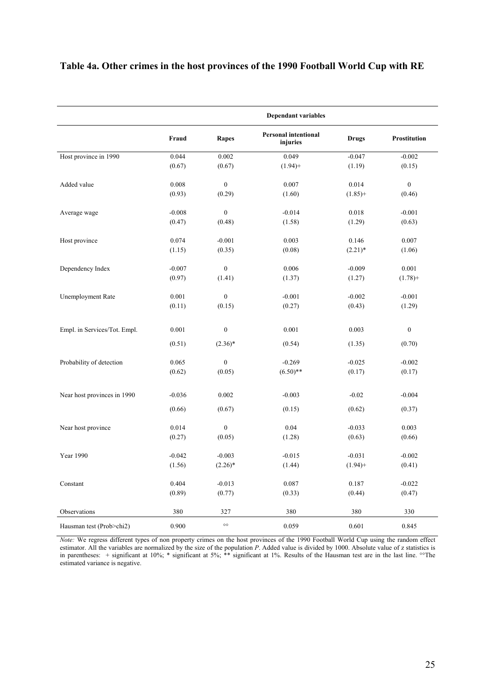## **Table 4a. Other crimes in the host provinces of the 1990 Football World Cup with RE**

|                              | <b>Dependant variables</b> |                  |                                         |              |                     |  |
|------------------------------|----------------------------|------------------|-----------------------------------------|--------------|---------------------|--|
|                              | Fraud                      | Rapes            | <b>Personal intentional</b><br>injuries | <b>Drugs</b> | <b>Prostitution</b> |  |
| Host province in 1990        | 0.044                      | 0.002            | 0.049                                   | $-0.047$     | $-0.002$            |  |
|                              | (0.67)                     | (0.67)           | $(1.94) +$                              | (1.19)       | (0.15)              |  |
| Added value                  | 0.008                      | $\overline{0}$   | 0.007                                   | 0.014        | $\mathbf{0}$        |  |
|                              | (0.93)                     | (0.29)           | (1.60)                                  | $(1.85) +$   | (0.46)              |  |
| Average wage                 | $-0.008$                   | $\boldsymbol{0}$ | $-0.014$                                | 0.018        | $-0.001$            |  |
|                              | (0.47)                     | (0.48)           | (1.58)                                  | (1.29)       | (0.63)              |  |
| Host province                | 0.074                      | $-0.001$         | 0.003                                   | 0.146        | 0.007               |  |
|                              | (1.15)                     | (0.35)           | (0.08)                                  | $(2.21)$ *   | (1.06)              |  |
| Dependency Index             | $-0.007$                   | $\boldsymbol{0}$ | 0.006                                   | $-0.009$     | 0.001               |  |
|                              | (0.97)                     | (1.41)           | (1.37)                                  | (1.27)       | $(1.78) +$          |  |
| Unemployment Rate            | 0.001                      | $\mathbf{0}$     | $-0.001$                                | $-0.002$     | $-0.001$            |  |
|                              | (0.11)                     | (0.15)           | (0.27)                                  | (0.43)       | (1.29)              |  |
|                              |                            |                  |                                         |              |                     |  |
| Empl. in Services/Tot. Empl. | 0.001                      | $\boldsymbol{0}$ | 0.001                                   | 0.003        | $\boldsymbol{0}$    |  |
|                              | (0.51)                     | $(2.36)^*$       | (0.54)                                  | (1.35)       | (0.70)              |  |
| Probability of detection     | 0.065                      | $\boldsymbol{0}$ | $-0.269$                                | $-0.025$     | $-0.002$            |  |
|                              | (0.62)                     | (0.05)           | $(6.50)$ **                             | (0.17)       | (0.17)              |  |
|                              | $-0.036$                   | 0.002            | $-0.003$                                | $-0.02$      | $-0.004$            |  |
| Near host provinces in 1990  | (0.66)                     | (0.67)           | (0.15)                                  | (0.62)       | (0.37)              |  |
|                              |                            |                  |                                         |              |                     |  |
| Near host province           | 0.014                      | $\boldsymbol{0}$ | 0.04                                    | $-0.033$     | 0.003               |  |
|                              | (0.27)                     | (0.05)           | (1.28)                                  | (0.63)       | (0.66)              |  |
| <b>Year 1990</b>             | $-0.042$                   | $-0.003$         | $-0.015$                                | $-0.031$     | $-0.002$            |  |
|                              | (1.56)                     | $(2.26)^*$       | (1.44)                                  | $(1.94) +$   | (0.41)              |  |
| Constant                     | 0.404                      | $-0.013$         | 0.087                                   | 0.187        | $-0.022$            |  |
|                              | (0.89)                     | (0.77)           | (0.33)                                  | (0.44)       | (0.47)              |  |
| Observations                 | 380                        | 327              | 380                                     | 380          | 330                 |  |
| Hausman test (Prob>chi2)     | 0.900                      | $\circ \circ$    | 0.059                                   | 0.601        | 0.845               |  |

*Note:* We regress different types of non property crimes on the host provinces of the 1990 Football World Cup using the random effect estimator. All the variables are normalized by the size of the population *P*. Added value is divided by 1000. Absolute value of z statistics is in parentheses: + significant at 10%; \* significant at 5%; \*\* significant at 1%. Results of the Hausman test are in the last line. °°The estimated variance is negative.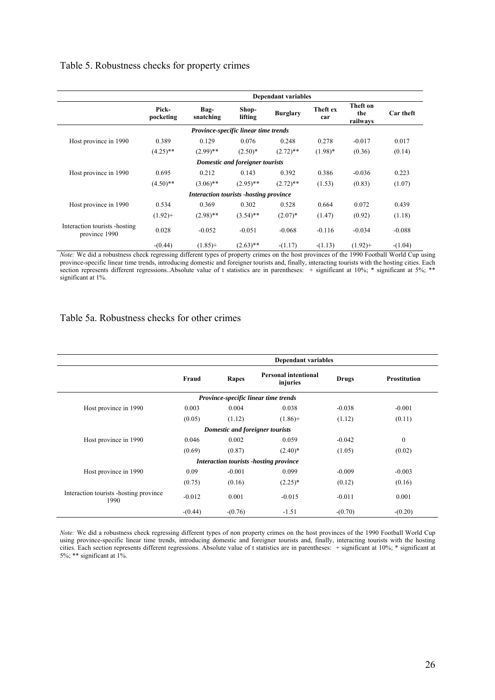#### Table 5. Robustness checks for property crimes

|                                                 |                    |                                         |                                 | <b>Dependant variables</b> |                 |                             |           |
|-------------------------------------------------|--------------------|-----------------------------------------|---------------------------------|----------------------------|-----------------|-----------------------------|-----------|
|                                                 | Pick-<br>pocketing | Bag-<br>snatching                       | Shop-<br>lifting                | <b>Burglary</b>            | Theft ex<br>car | Theft on<br>the<br>railways | Car theft |
|                                                 |                    | Province-specific linear time trends    |                                 |                            |                 |                             |           |
| Host province in 1990                           | 0.389              | 0.129                                   | 0.076                           | 0.248                      | 0.278           | $-0.017$                    | 0.017     |
|                                                 | $(4.25)$ **        | $(2.99)$ **                             | $(2.50)*$                       | $(2.72)$ **                | $(1.98)*$       | (0.36)                      | (0.14)    |
|                                                 |                    |                                         | Domestic and foreigner tourists |                            |                 |                             |           |
| Host province in 1990                           | 0.695              | 0.212                                   | 0.143                           | 0.392                      | 0.386           | $-0.036$                    | 0.223     |
|                                                 | $(4.50)$ **        | $(3.06)$ **                             | $(2.95)$ **                     | $(2.72)$ **                | (1.53)          | (0.83)                      | (1.07)    |
|                                                 |                    | Interaction tourists - hosting province |                                 |                            |                 |                             |           |
| Host province in 1990                           | 0.534              | 0.369                                   | 0.302                           | 0.528                      | 0.664           | 0.072                       | 0.439     |
|                                                 | $(1.92) +$         | $(2.98)$ **                             | $(3.54)$ **                     | $(2.07)^*$                 | (1.47)          | (0.92)                      | (1.18)    |
| Interaction tourists - hosting<br>province 1990 | 0.028              | $-0.052$                                | $-0.051$                        | $-0.068$                   | $-0.116$        | $-0.034$                    | $-0.088$  |
|                                                 | $-(0.44)$          | $(1.85) +$                              | $(2.63)$ **                     | $-(1.17)$                  | $-(1.13)$       | $(1.92) +$                  | $-(1.04)$ |

*Note:* We did a robustness check regressing different types of property crimes on the host provinces of the 1990 Football World Cup using province-specific linear time trends, introducing domestic and foreigner tourists and, finally, interacting tourists with the hosting cities. Each section represents different regressions. Absolute value of t statistics are in parentheses: + significant at 10%; \* significant at 5%; \*\* significant at 1%.

#### Table 5a. Robustness checks for other crimes

|                                                 | <b>Dependant variables</b> |           |                                         |              |                     |  |
|-------------------------------------------------|----------------------------|-----------|-----------------------------------------|--------------|---------------------|--|
|                                                 | Fraud                      | Rapes     | <b>Personal intentional</b><br>injuries | <b>Drugs</b> | <b>Prostitution</b> |  |
|                                                 |                            |           | Province-specific linear time trends    |              |                     |  |
| Host province in 1990                           | 0.003                      | 0.004     | 0.038                                   | $-0.038$     | $-0.001$            |  |
|                                                 | (0.05)                     | (1.12)    | $(1.86) +$                              | (1.12)       | (0.11)              |  |
|                                                 |                            |           | Domestic and foreigner tourists         |              |                     |  |
| Host province in 1990                           | 0.046                      | 0.002     | 0.059                                   | $-0.042$     | $\mathbf{0}$        |  |
|                                                 | (0.69)                     | (0.87)    | $(2.40)^*$                              | (1.05)       | (0.02)              |  |
|                                                 |                            |           | Interaction tourists - hosting province |              |                     |  |
| Host province in 1990                           | 0.09                       | $-0.001$  | 0.099                                   | $-0.009$     | $-0.003$            |  |
|                                                 | (0.75)                     | (0.16)    | $(2.25)^*$                              | (0.12)       | (0.16)              |  |
| Interaction tourists - hosting province<br>1990 | $-0.012$                   | 0.001     | $-0.015$                                | $-0.011$     | 0.001               |  |
|                                                 | $-(0.44)$                  | $-(0.76)$ | $-1.51$                                 | $-(0.70)$    | $-(0.20)$           |  |

*Note:* We did a robustness check regressing different types of non property crimes on the host provinces of the 1990 Football World Cup using province-specific linear time trends, introducing domestic and foreigner tourists and, finally, interacting tourists with the hosting cities. Each section represents different regressions. Absolute value of t statistics are in parentheses: + significant at 10%; \* significant at 5%; \*\* significant at 1%.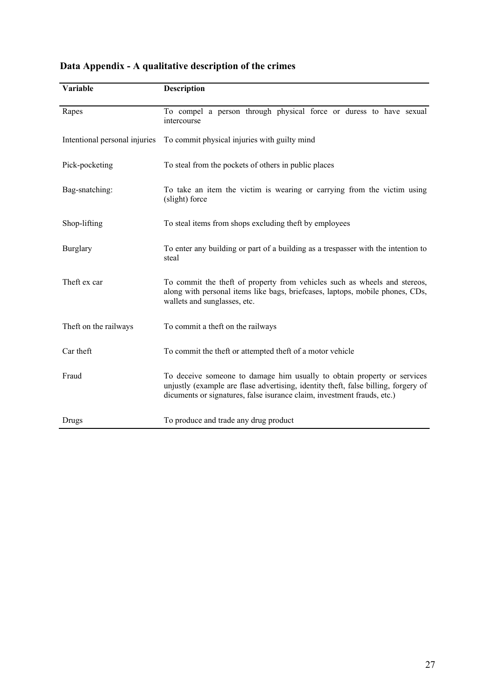| Variable                      | <b>Description</b>                                                                                                                                                                                                                       |
|-------------------------------|------------------------------------------------------------------------------------------------------------------------------------------------------------------------------------------------------------------------------------------|
| Rapes                         | To compel a person through physical force or duress to have sexual<br>intercourse                                                                                                                                                        |
| Intentional personal injuries | To commit physical injuries with guilty mind                                                                                                                                                                                             |
| Pick-pocketing                | To steal from the pockets of others in public places                                                                                                                                                                                     |
| Bag-snatching:                | To take an item the victim is wearing or carrying from the victim using<br>(slight) force                                                                                                                                                |
| Shop-lifting                  | To steal items from shops excluding theft by employees                                                                                                                                                                                   |
| <b>Burglary</b>               | To enter any building or part of a building as a trespasser with the intention to<br>steal                                                                                                                                               |
| Theft ex car                  | To commit the theft of property from vehicles such as wheels and stereos,<br>along with personal items like bags, briefcases, laptops, mobile phones, CDs,<br>wallets and sunglasses, etc.                                               |
| Theft on the railways         | To commit a theft on the railways                                                                                                                                                                                                        |
| Car theft                     | To commit the theft or attempted theft of a motor vehicle                                                                                                                                                                                |
| Fraud                         | To deceive someone to damage him usually to obtain property or services<br>unjustly (example are flase advertising, identity theft, false billing, forgery of<br>dicuments or signatures, false isurance claim, investment frauds, etc.) |
| Drugs                         | To produce and trade any drug product                                                                                                                                                                                                    |

# **Data Appendix - A qualitative description of the crimes**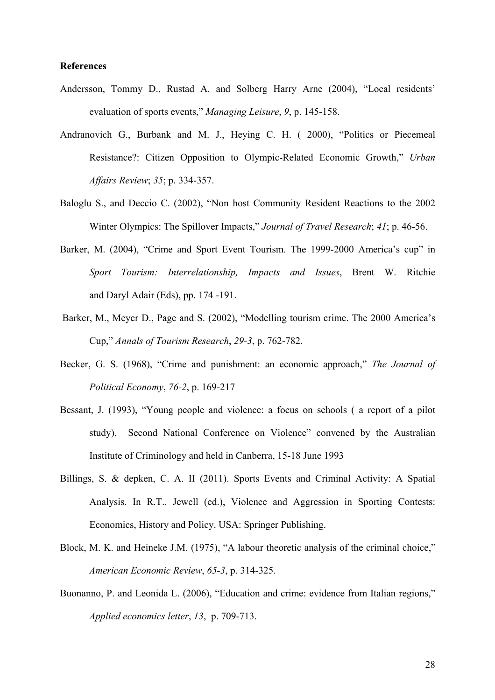#### **References**

- Andersson, Tommy D., Rustad A. and Solberg Harry Arne (2004), "Local residents' evaluation of sports events," *Managing Leisure*, *9*, p. 145-158.
- Andranovich G., Burbank and M. J., Heying C. H. ( 2000), "Politics or Piecemeal Resistance?: Citizen Opposition to Olympic-Related Economic Growth," *Urban Affairs Review*; *35*; p. 334-357.
- Baloglu S., and Deccio C. (2002), "Non host Community Resident Reactions to the 2002 Winter Olympics: The Spillover Impacts," *Journal of Travel Research*; *41*; p. 46-56.
- Barker, M. (2004), "Crime and Sport Event Tourism. The 1999-2000 America's cup" in *Sport Tourism: Interrelationship, Impacts and Issues*, Brent W. Ritchie and Daryl Adair (Eds), pp. 174 -191.
- Barker, M., Meyer D., Page and S. (2002), "Modelling tourism crime. The 2000 America's Cup," *Annals of Tourism Research*, *29-3*, p. 762-782.
- Becker, G. S. (1968), "Crime and punishment: an economic approach," *The Journal of Political Economy*, *76-2*, p. 169-217
- Bessant, J. (1993), "Young people and violence: a focus on schools ( a report of a pilot study), Second National Conference on Violence" convened by the Australian Institute of Criminology and held in Canberra, 15-18 June 1993
- Billings, S. & depken, C. A. II (2011). Sports Events and Criminal Activity: A Spatial Analysis. In R.T.. Jewell (ed.), Violence and Aggression in Sporting Contests: Economics, History and Policy. USA: Springer Publishing.
- Block, M. K. and Heineke J.M. (1975), "A labour theoretic analysis of the criminal choice," *American Economic Review*, *65-3*, p. 314-325.
- Buonanno, P. and Leonida L. (2006), "Education and crime: evidence from Italian regions," *Applied economics letter*, *13*, p. 709-713.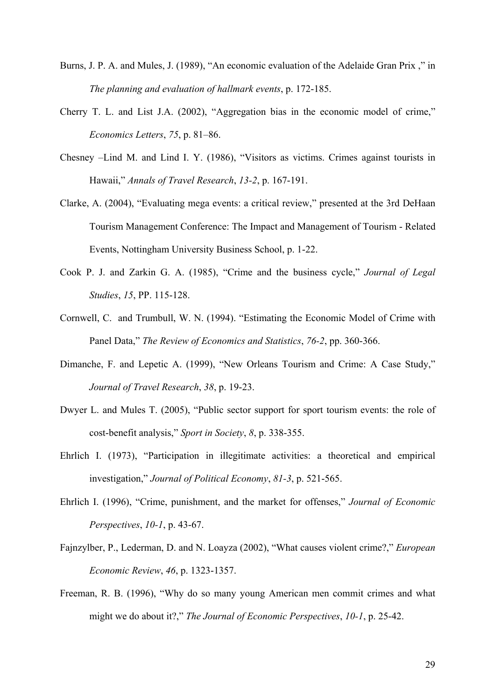- Burns, J. P. A. and Mules, J. (1989), "An economic evaluation of the Adelaide Gran Prix ," in *The planning and evaluation of hallmark events*, p. 172-185.
- Cherry T. L. and List J.A. (2002), "Aggregation bias in the economic model of crime," *Economics Letters*, *75*, p. 81–86.
- Chesney –Lind M. and Lind I. Y. (1986), "Visitors as victims. Crimes against tourists in Hawaii," *Annals of Travel Research*, *13-2*, p. 167-191.
- Clarke, A. (2004), "Evaluating mega events: a critical review," presented at the 3rd DeHaan Tourism Management Conference: The Impact and Management of Tourism - Related Events, Nottingham University Business School, p. 1-22.
- Cook P. J. and Zarkin G. A. (1985), "Crime and the business cycle," *Journal of Legal Studies*, *15*, PP. 115-128.
- Cornwell, C. and Trumbull, W. N. (1994). "Estimating the Economic Model of Crime with Panel Data," *The Review of Economics and Statistics*, *76-2*, pp. 360-366.
- Dimanche, F. and Lepetic A. (1999), "New Orleans Tourism and Crime: A Case Study," *Journal of Travel Research*, *38*, p. 19-23.
- Dwyer L. and Mules T. (2005), "Public sector support for sport tourism events: the role of cost-benefit analysis," *Sport in Society*, *8*, p. 338-355.
- Ehrlich I. (1973), "Participation in illegitimate activities: a theoretical and empirical investigation," *Journal of Political Economy*, *81-3*, p. 521-565.
- Ehrlich I. (1996), "Crime, punishment, and the market for offenses," *Journal of Economic Perspectives*, *10-1*, p. 43-67.
- Fajnzylber, P., Lederman, D. and N. Loayza (2002), "What causes violent crime?," *European Economic Review*, *46*, p. 1323-1357.
- Freeman, R. B. (1996), "Why do so many young American men commit crimes and what might we do about it?," *The Journal of Economic Perspectives*, *10-1*, p. 25-42.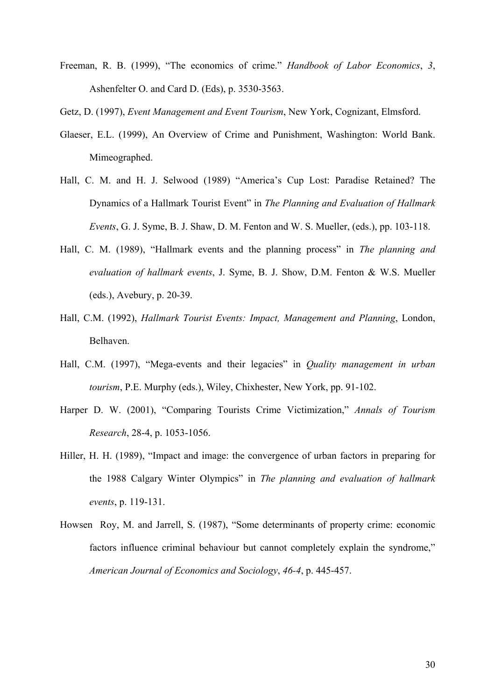Freeman, R. B. (1999), "The economics of crime." *Handbook of Labor Economics*, *3*, Ashenfelter O. and Card D. (Eds), p. 3530-3563.

Getz, D. (1997), *Event Management and Event Tourism*, New York, Cognizant, Elmsford.

- Glaeser, E.L. (1999), An Overview of Crime and Punishment, Washington: World Bank. Mimeographed.
- Hall, C. M. and H. J. Selwood (1989) "America's Cup Lost: Paradise Retained? The Dynamics of a Hallmark Tourist Event" in *The Planning and Evaluation of Hallmark Events*, G. J. Syme, B. J. Shaw, D. M. Fenton and W. S. Mueller, (eds.), pp. 103-118.
- Hall, C. M. (1989), "Hallmark events and the planning process" in *The planning and evaluation of hallmark events*, J. Syme, B. J. Show, D.M. Fenton & W.S. Mueller (eds.), Avebury, p. 20-39.
- Hall, C.M. (1992), *Hallmark Tourist Events: Impact, Management and Planning*, London, Belhaven.
- Hall, C.M. (1997), "Mega-events and their legacies" in *Quality management in urban tourism*, P.E. Murphy (eds.), Wiley, Chixhester, New York, pp. 91-102.
- Harper D. W. (2001), "Comparing Tourists Crime Victimization," *Annals of Tourism Research*, 28-4, p. 1053-1056.
- Hiller, H. H. (1989), "Impact and image: the convergence of urban factors in preparing for the 1988 Calgary Winter Olympics" in *The planning and evaluation of hallmark events*, p. 119-131.
- Howsen Roy, M. and Jarrell, S. (1987), "Some determinants of property crime: economic factors influence criminal behaviour but cannot completely explain the syndrome," *American Journal of Economics and Sociology*, *46-4*, p. 445-457.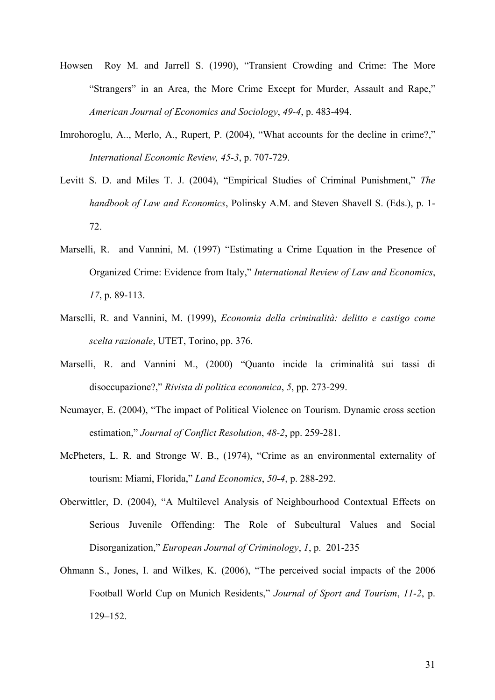- Howsen Roy M. and Jarrell S. (1990), "Transient Crowding and Crime: The More "Strangers" in an Area, the More Crime Except for Murder, Assault and Rape," *American Journal of Economics and Sociology*, *49-4*, p. 483-494.
- Imrohoroglu, A.., Merlo, A., Rupert, P. (2004), "What accounts for the decline in crime?," *International Economic Review, 45-3*, p. 707-729.
- Levitt S. D. and Miles T. J. (2004), "Empirical Studies of Criminal Punishment," *The handbook of Law and Economics*, Polinsky A.M. and Steven Shavell S. (Eds.), p. 1- 72.
- Marselli, R. and Vannini, M. (1997) "Estimating a Crime Equation in the Presence of Organized Crime: Evidence from Italy," *International Review of Law and Economics*, *17*, p. 89-113.
- Marselli, R. and Vannini, M. (1999), *Economia della criminalità: delitto e castigo come scelta razionale*, UTET, Torino, pp. 376.
- Marselli, R. and Vannini M., (2000) "Quanto incide la criminalità sui tassi di disoccupazione?," *Rivista di politica economica*, *5*, pp. 273-299.
- Neumayer, E. (2004), "The impact of Political Violence on Tourism. Dynamic cross section estimation," *Journal of Conflict Resolution*, *48-2*, pp. 259-281.
- McPheters, L. R. and Stronge W. B., (1974), "Crime as an environmental externality of tourism: Miami, Florida," *Land Economics*, *50-4*, p. 288-292.
- Oberwittler, D. (2004), "A Multilevel Analysis of Neighbourhood Contextual Effects on Serious Juvenile Offending: The Role of Subcultural Values and Social Disorganization," *European Journal of Criminology*, *1*, p. 201-235
- Ohmann S., Jones, I. and Wilkes, K. (2006), "The perceived social impacts of the 2006 Football World Cup on Munich Residents," *Journal of Sport and Tourism*, *11-2*, p. 129–152.